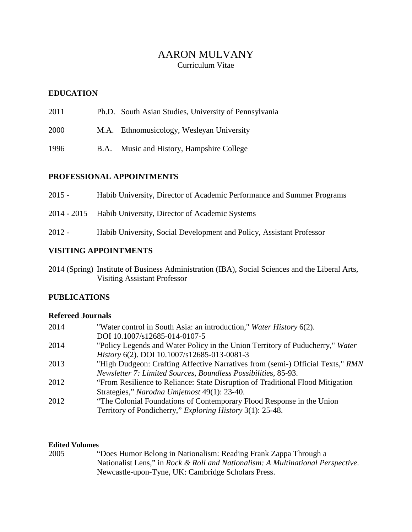# AARON MULVANY Curriculum Vitae

# **EDUCATION**

- 2011 Ph.D. South Asian Studies, University of Pennsylvania
- 2000 M.A. Ethnomusicology, Wesleyan University
- 1996 B.A. Music and History, Hampshire College

## **PROFESSIONAL APPOINTMENTS**

| VICITUMA A DDAINTN (FNITC |                                                                        |
|---------------------------|------------------------------------------------------------------------|
| 2012 -                    | Habib University, Social Development and Policy, Assistant Professor   |
|                           | 2014 - 2015 Habib University, Director of Academic Systems             |
| 2015 -                    | Habib University, Director of Academic Performance and Summer Programs |

# **VISITING APPOINTMENTS**

2014 (Spring) Institute of Business Administration (IBA), Social Sciences and the Liberal Arts, Visiting Assistant Professor

# **PUBLICATIONS**

## **Refereed Journals**

| 2014 | "Water control in South Asia: an introduction," Water History 6(2).            |
|------|--------------------------------------------------------------------------------|
|      | DOI 10.1007/s12685-014-0107-5                                                  |
| 2014 | "Policy Legends and Water Policy in the Union Territory of Puducherry," Water  |
|      | History 6(2). DOI 10.1007/s12685-013-0081-3                                    |
| 2013 | "High Dudgeon: Crafting Affective Narratives from (semi-) Official Texts," RMN |
|      | Newsletter 7: Limited Sources, Boundless Possibilities, 85-93.                 |
| 2012 | "From Resilience to Reliance: State Disruption of Traditional Flood Mitigation |
|      | Strategies," Narodna Umjetnost 49(1): 23-40.                                   |
| 2012 | "The Colonial Foundations of Contemporary Flood Response in the Union          |
|      | Territory of Pondicherry," <i>Exploring History</i> 3(1): 25-48.               |

## **Edited Volumes**

| 2005 | "Does Humor Belong in Nationalism: Reading Frank Zappa Through a                |
|------|---------------------------------------------------------------------------------|
|      | Nationalist Lens," in Rock & Roll and Nationalism: A Multinational Perspective. |
|      | Newcastle-upon-Tyne, UK: Cambridge Scholars Press.                              |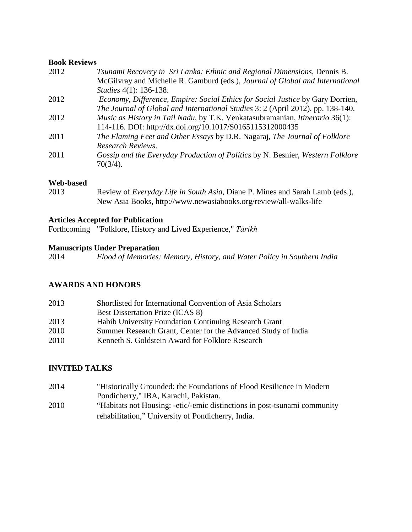#### **Book Reviews**

| 2012 | Tsunami Recovery in Sri Lanka: Ethnic and Regional Dimensions, Dennis B.            |
|------|-------------------------------------------------------------------------------------|
|      | McGilvray and Michelle R. Gamburd (eds.), Journal of Global and International       |
|      | Studies 4(1): 136-138.                                                              |
| 2012 | Economy, Difference, Empire: Social Ethics for Social Justice by Gary Dorrien,      |
|      | The Journal of Global and International Studies 3: 2 (April 2012), pp. 138-140.     |
| 2012 | <i>Music as History in Tail Nadu, by T.K. Venkatasubramanian, Itinerario</i> 36(1): |
|      | 114-116. DOI: http://dx.doi.org/10.1017/S0165115312000435                           |
| 2011 | The Flaming Feet and Other Essays by D.R. Nagaraj, The Journal of Folklore          |
|      | Research Reviews.                                                                   |
| 2011 | Gossip and the Everyday Production of Politics by N. Besnier, Western Folklore      |
|      | 70(3/4).                                                                            |
|      |                                                                                     |

#### **Web-based**

2013 Review of *Everyday Life in South Asia,* Diane P. Mines and Sarah Lamb (eds.), New Asia Books, http://www.newasiabooks.org/review/all-walks-life

### **Articles Accepted for Publication**

Forthcoming "Folklore, History and Lived Experience," *Tārikh*

#### **Manuscripts Under Preparation**

2014 *Flood of Memories: Memory, History, and Water Policy in Southern India*

## **AWARDS AND HONORS**

| 2013 | Shortlisted for International Convention of Asia Scholars     |
|------|---------------------------------------------------------------|
|      | <b>Best Dissertation Prize (ICAS 8)</b>                       |
| 2013 | Habib University Foundation Continuing Research Grant         |
| 2010 | Summer Research Grant, Center for the Advanced Study of India |
| 2010 | Kenneth S. Goldstein Award for Folklore Research              |
|      |                                                               |

### **INVITED TALKS**

2014 "Historically Grounded: the Foundations of Flood Resilience in Modern Pondicherry," IBA, Karachi, Pakistan. 2010 "Habitats not Housing: -etic/-emic distinctions in post-tsunami community rehabilitation," University of Pondicherry, India.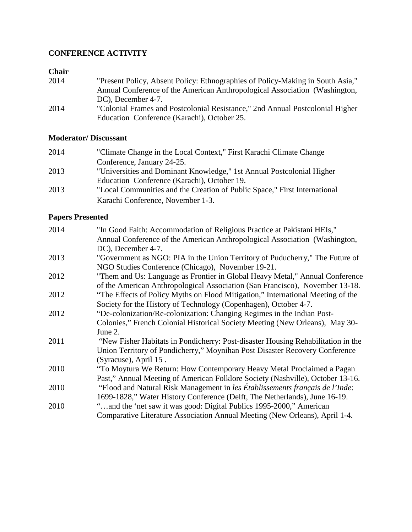# **CONFERENCE ACTIVITY**

# **Chair**

| 2014 | "Present Policy, Absent Policy: Ethnographies of Policy-Making in South Asia," |
|------|--------------------------------------------------------------------------------|
|      | Annual Conference of the American Anthropological Association (Washington,     |
|      | DC), December 4-7.                                                             |
| 2014 | "Colonial Frames and Postcolonial Resistance," 2nd Annual Postcolonial Higher  |
|      | Education Conference (Karachi), October 25.                                    |

# **Moderator/ Discussant**

| 2014 | "Climate Change in the Local Context," First Karachi Climate Change       |
|------|---------------------------------------------------------------------------|
|      | Conference, January 24-25.                                                |
| 2013 | "Universities and Dominant Knowledge," 1st Annual Postcolonial Higher     |
|      | Education Conference (Karachi), October 19.                               |
| 2013 | "Local Communities and the Creation of Public Space," First International |
|      | Karachi Conference, November 1-3.                                         |

# **Papers Presented**

| 2014 | "In Good Faith: Accommodation of Religious Practice at Pakistani HEIs,"          |
|------|----------------------------------------------------------------------------------|
|      | Annual Conference of the American Anthropological Association (Washington,       |
|      | DC), December 4-7.                                                               |
| 2013 | "Government as NGO: PIA in the Union Territory of Puducherry," The Future of     |
|      | NGO Studies Conference (Chicago), November 19-21.                                |
| 2012 | "Them and Us: Language as Frontier in Global Heavy Metal," Annual Conference     |
|      | of the American Anthropological Association (San Francisco), November 13-18.     |
| 2012 | "The Effects of Policy Myths on Flood Mitigation," International Meeting of the  |
|      | Society for the History of Technology (Copenhagen), October 4-7.                 |
| 2012 | "De-colonization/Re-colonization: Changing Regimes in the Indian Post-           |
|      | Colonies," French Colonial Historical Society Meeting (New Orleans), May 30-     |
|      | June 2.                                                                          |
| 2011 | "New Fisher Habitats in Pondicherry: Post-disaster Housing Rehabilitation in the |
|      | Union Territory of Pondicherry," Moynihan Post Disaster Recovery Conference      |
|      | (Syracuse), April 15.                                                            |
| 2010 | "To Moytura We Return: How Contemporary Heavy Metal Proclaimed a Pagan           |
|      | Past," Annual Meeting of American Folklore Society (Nashville), October 13-16.   |
| 2010 | "Flood and Natural Risk Management in les Établissements français de l'Inde:     |
|      | 1699-1828," Water History Conference (Delft, The Netherlands), June 16-19.       |
| 2010 | "and the 'net saw it was good: Digital Publics 1995-2000," American              |
|      | Comparative Literature Association Annual Meeting (New Orleans), April 1-4.      |